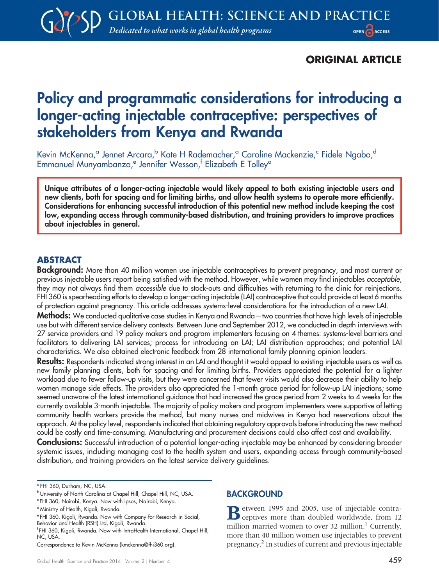# ORIGINAL ARTICLE

# Policy and programmatic considerations for introducing a longer-acting injectable contraceptive: perspectives of stakeholders from Kenya and Rwanda

Kevin McKenna,<sup>a</sup> Jennet Arcara,<sup>b</sup> Kate H Rademacher,<sup>a</sup> Caroline Mackenzie,<sup>c</sup> Fidele Ngabo,<sup>d</sup> Emmanuel Munyambanza,<sup>e</sup> Jennifer Wesson,<sup>†</sup> Elizabeth E Tolley<sup>a</sup>

Unique attributes of a longer-acting injectable would likely appeal to both existing injectable users and new clients, both for spacing and for limiting births, and allow health systems to operate more efficiently. Considerations for enhancing successful introduction of this potential new method include keeping the cost low, expanding access through community-based distribution, and training providers to improve practices about injectables in general.

## ABSTRACT

**Background:** More than 40 million women use injectable contraceptives to prevent pregnancy, and most current or previous injectable users report being satisfied with the method. However, while women may find injectables acceptable, they may not always find them accessible due to stock-outs and difficulties with returning to the clinic for reinjections. FHI 360 is spearheading efforts to develop a longer-acting injectable (LAI) contraceptive that could provide at least 6 months of protection against pregnancy. This article addresses systems-level considerations for the introduction of a new LAI.

Methods: We conducted qualitative case studies in Kenya and Rwanda—two countries that have high levels of injectable use but with different service delivery contexts. Between June and September 2012, we conducted in-depth interviews with 27 service providers and 19 policy makers and program implementers focusing on 4 themes: systems-level barriers and facilitators to delivering LAI services; process for introducing an LAI; LAI distribution approaches; and potential LAI characteristics. We also obtained electronic feedback from 28 international family planning opinion leaders.

Results: Respondents indicated strong interest in an LAI and thought it would appeal to existing injectable users as well as new family planning clients, both for spacing and for limiting births. Providers appreciated the potential for a lighter workload due to fewer follow-up visits, but they were concerned that fewer visits would also decrease their ability to help women manage side effects. The providers also appreciated the 1-month grace period for follow-up LAI injections; some seemed unaware of the latest international guidance that had increased the grace period from 2 weeks to 4 weeks for the currently available 3-month injectable. The majority of policy makers and program implementers were supportive of letting community health workers provide the method, but many nurses and midwives in Kenya had reservations about the approach. At the policy level, respondents indicated that obtaining regulatory approvals before introducing the new method could be costly and time-consuming. Manufacturing and procurement decisions could also affect cost and availability.

Conclusions: Successful introduction of a potential longer-acting injectable may be enhanced by considering broader systemic issues, including managing cost to the health system and users, expanding access through community-based distribution, and training providers on the latest service delivery guidelines.

Correspondence to Kevin McKenna (kmckenna@fhi360.org).

## **BACKGROUND**

Between 1995 and 2005, use of injectable contra-<br>ceptives more than doubled worldwide, from 12 million married women to over 32 million. $<sup>1</sup>$  Currently,</sup> more than 40 million women use injectables to prevent pregnancy.2 In studies of current and previous injectable

<sup>a</sup> FHI 360, Durham, NC, USA.

**b** University of North Carolina at Chapel Hill, Chapel Hill, NC, USA.

<sup>&</sup>lt;sup>c</sup> FHI 360, Nairobi, Kenya. Now with Ipsos, Nairobi, Kenya.

d Ministry of Health, Kigali, Rwanda.

<sup>e</sup> FHI 360, Kigali, Rwanda. Now with Company for Research in Social, Behavior and Health (RSH) Ltd, Kigali, Rwanda.

<sup>&</sup>lt;sup>f</sup> FHI 360, Kigali, Rwanda. Now with IntraHealth International, Chapel Hill, NC, USA.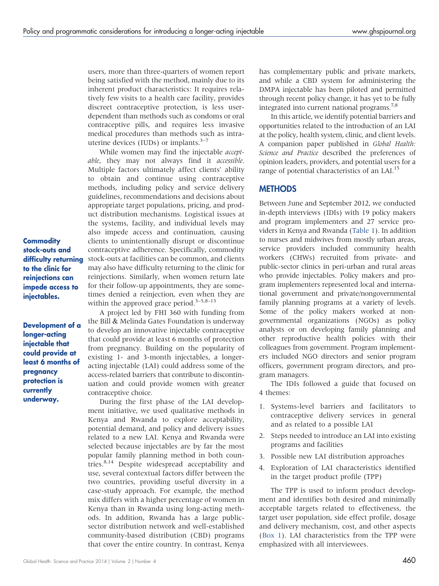users, more than three-quarters of women report being satisfied with the method, mainly due to its inherent product characteristics: It requires relatively few visits to a health care facility, provides discreet contraceptive protection, is less userdependent than methods such as condoms or oral contraceptive pills, and requires less invasive medical procedures than methods such as intrauterine devices (IUDs) or implants. $3-7$ 

While women may find the injectable *accept*able, they may not always find it accessible. Multiple factors ultimately affect clients' ability to obtain and continue using contraceptive methods, including policy and service delivery guidelines, recommendations and decisions about appropriate target populations, pricing, and product distribution mechanisms. Logistical issues at the systems, facility, and individual levels may also impede access and continuation, causing clients to unintentionally disrupt or discontinue contraceptive adherence. Specifically, commodity stock-outs at facilities can be common, and clients may also have difficulty returning to the clinic for reinjections. Similarly, when women return late for their follow-up appointments, they are sometimes denied a reinjection, even when they are within the approved grace period. $3-5,8-13$ 

**Commodity** stock-outs and difficulty returning to the clinic for reinjections can impede access to injectables.

Development of a longer-acting injectable that could provide at least 6 months of pregnancy protection is currently underway.

A project led by FHI 360 with funding from the Bill & Melinda Gates Foundation is underway to develop an innovative injectable contraceptive that could provide at least 6 months of protection from pregnancy. Building on the popularity of existing 1- and 3-month injectables, a longeracting injectable (LAI) could address some of the access-related barriers that contribute to discontinuation and could provide women with greater contraceptive choice.

During the first phase of the LAI development initiative, we used qualitative methods in Kenya and Rwanda to explore acceptability, potential demand, and policy and delivery issues related to a new LAI. Kenya and Rwanda were selected because injectables are by far the most popular family planning method in both countries.<sup>8,14</sup> Despite widespread acceptability and use, several contextual factors differ between the two countries, providing useful diversity in a case-study approach. For example, the method mix differs with a higher percentage of women in Kenya than in Rwanda using long-acting methods. In addition, Rwanda has a large publicsector distribution network and well-established community-based distribution (CBD) programs that cover the entire country. In contrast, Kenya

has complementary public and private markets, and while a CBD system for administering the DMPA injectable has been piloted and permitted through recent policy change, it has yet to be fully integrated into current national programs.<sup>7,8</sup>

In this article, we identify potential barriers and opportunities related to the introduction of an LAI at the policy, health system, clinic, and client levels. A companion paper published in Global Health: Science and Practice described the preferences of opinion leaders, providers, and potential users for a range of potential characteristics of an LAI.15

## **METHODS**

Between June and September 2012, we conducted in-depth interviews (IDIs) with 19 policy makers and program implementers and 27 service providers in Kenya and Rwanda [\(Table 1](#page-2-0)). In addition to nurses and midwives from mostly urban areas, service providers included community health workers (CHWs) recruited from private- and public-sector clinics in peri-urban and rural areas who provide injectables. Policy makers and program implementers represented local and international government and private/nongovernmental family planning programs at a variety of levels. Some of the policy makers worked at nongovernmental organizations (NGOs) as policy analysts or on developing family planning and other reproductive health policies with their colleagues from government. Program implementers included NGO directors and senior program officers, government program directors, and program managers.

The IDIs followed a guide that focused on 4 themes:

- 1. Systems-level barriers and facilitators to contraceptive delivery services in general and as related to a possible LAI
- 2. Steps needed to introduce an LAI into existing programs and facilities
- 3. Possible new LAI distribution approaches
- 4. Exploration of LAI characteristics identified in the target product profile (TPP)

The TPP is used to inform product development and identifies both desired and minimally acceptable targets related to effectiveness, the target user population, side effect profile, dosage and delivery mechanism, cost, and other aspects ([Box 1\)](#page-2-0). LAI characteristics from the TPP were emphasized with all interviewees.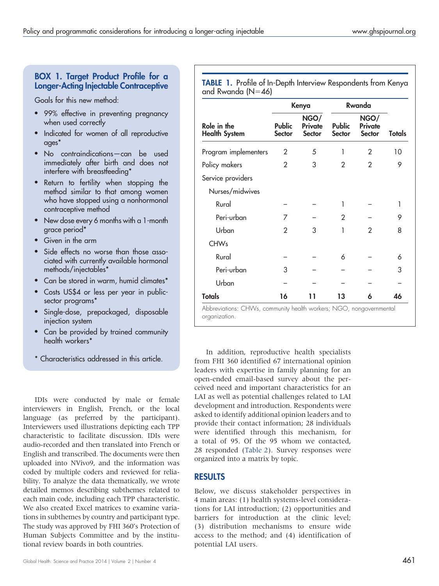# <span id="page-2-0"></span>BOX 1. Target Product Profile for a Longer-Acting Injectable Contraceptive

Goals for this new method:

- 99% effective in preventing pregnancy when used correctly
- Indicated for women of all reproductive ages\*
- No contraindications—can be used immediately after birth and does not interfere with breastfeeding\*
- Return to fertility when stopping the method similar to that among women who have stopped using a nonhormonal contraceptive method
- New dose every 6 months with a 1-month grace period\*
- Given in the arm
- Side effects no worse than those associated with currently available hormonal methods/injectables\*
- Can be stored in warm, humid climates\*
- Costs US\$4 or less per year in publicsector programs\*
- Single-dose, prepackaged, disposable injection system
- Can be provided by trained community health workers\*
- \* Characteristics addressed in this article.

IDIs were conducted by male or female interviewers in English, French, or the local language (as preferred by the participant). Interviewers used illustrations depicting each TPP characteristic to facilitate discussion. IDIs were audio-recorded and then translated into French or English and transcribed. The documents were then uploaded into NVivo9, and the information was coded by multiple coders and reviewed for reliability. To analyze the data thematically, we wrote detailed memos describing subthemes related to each main code, including each TPP characteristic. We also created Excel matrices to examine variations in subthemes by country and participant type. The study was approved by FHI 360's Protection of Human Subjects Committee and by the institutional review boards in both countries.

| Role in the<br><b>Health System</b> | Kenya                          |                                  | Rwanda                         |                                  |               |
|-------------------------------------|--------------------------------|----------------------------------|--------------------------------|----------------------------------|---------------|
|                                     | <b>Public</b><br><b>Sector</b> | NGO/<br>Private<br><b>Sector</b> | <b>Public</b><br><b>Sector</b> | NGO/<br>Private<br><b>Sector</b> | <b>Totals</b> |
| Program implementers                | 2                              | 5                                | 1                              | 2                                | 10            |
| Policy makers                       | $\overline{2}$                 | 3                                | $\mathfrak{p}$                 | $\mathfrak{p}$                   | 9             |
| Service providers                   |                                |                                  |                                |                                  |               |
| Nurses/midwives                     |                                |                                  |                                |                                  |               |
| Rural                               |                                |                                  | 1                              |                                  | 1             |
| Peri-urban                          | 7                              |                                  | $\mathfrak{p}$                 |                                  | 9             |
| Urban                               | $\mathfrak{p}$                 | 3                                | 1                              | $\mathcal{P}$                    | 8             |
| <b>CHWs</b>                         |                                |                                  |                                |                                  |               |
| Rural                               |                                |                                  | 6                              |                                  | 6             |
| Peri-urban                          | 3                              |                                  |                                |                                  | 3             |
| Urban                               |                                |                                  |                                |                                  |               |
| Totals                              | 16                             | 11                               | 13                             | 6                                | 46            |

Abbreviations: CHWs, community health workers; NGO, nongovernmental organization.

In addition, reproductive health specialists from FHI 360 identified 67 international opinion leaders with expertise in family planning for an open-ended email-based survey about the perceived need and important characteristics for an LAI as well as potential challenges related to LAI development and introduction. Respondents were asked to identify additional opinion leaders and to provide their contact information; 28 individuals were identified through this mechanism, for a total of 95. Of the 95 whom we contacted, 28 responded [\(Table 2](#page-3-0)). Survey responses were organized into a matrix by topic.

## RESULTS

Below, we discuss stakeholder perspectives in 4 main areas: (1) health systems-level considerations for LAI introduction; (2) opportunities and barriers for introduction at the clinic level; (3) distribution mechanisms to ensure wide access to the method; and (4) identification of potential LAI users.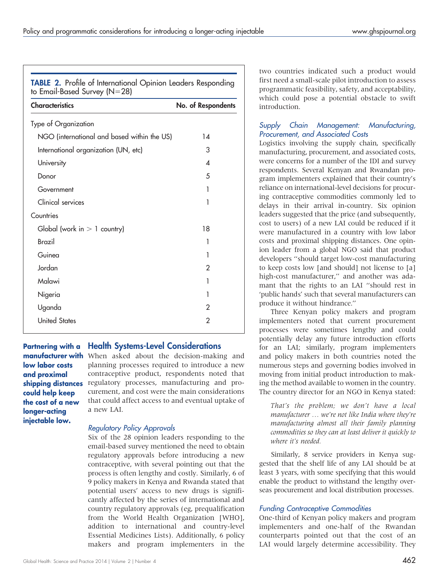<span id="page-3-0"></span>

| to Email-Based Survey ( $N=28$ )            |                    |  |
|---------------------------------------------|--------------------|--|
| <b>Characteristics</b>                      | No. of Respondents |  |
| Type of Organization                        |                    |  |
| NGO (international and based within the US) | 14                 |  |
| International organization (UN, etc)        | 3                  |  |
| University                                  | 4                  |  |
| Donor                                       | 5                  |  |
| Government                                  | 1                  |  |
| Clinical services                           | 1                  |  |
| Countries                                   |                    |  |
| Global (work in $> 1$ country)              | 18                 |  |
| Brazil                                      | 1                  |  |
| Guinea                                      | 1                  |  |
| Jordan                                      | $\mathfrak{p}$     |  |
| Malawi                                      | 1                  |  |
| Nigeria                                     | 1                  |  |
| Uganda                                      | 2                  |  |
| <b>United States</b>                        | 2                  |  |
|                                             |                    |  |

Partnering with a low labor costs and proximal shipping distances could help keep the cost of a new longer-acting injectable low.

## Health Systems-Level Considerations

manufacturer with When asked about the decision-making and planning processes required to introduce a new contraceptive product, respondents noted that regulatory processes, manufacturing and procurement, and cost were the main considerations that could affect access to and eventual uptake of a new LAI.

#### Regulatory Policy Approvals

Six of the 28 opinion leaders responding to the email-based survey mentioned the need to obtain regulatory approvals before introducing a new contraceptive, with several pointing out that the process is often lengthy and costly. Similarly, 6 of 9 policy makers in Kenya and Rwanda stated that potential users' access to new drugs is significantly affected by the series of international and country regulatory approvals (eg, prequalification from the World Health Organization [WHO], addition to international and country-level Essential Medicines Lists). Additionally, 6 policy makers and program implementers in the

two countries indicated such a product would first need a small-scale pilot introduction to assess programmatic feasibility, safety, and acceptability, which could pose a potential obstacle to swift introduction.

#### Supply Chain Management: Manufacturing, Procurement, and Associated Costs

Logistics involving the supply chain, specifically manufacturing, procurement, and associated costs, were concerns for a number of the IDI and survey respondents. Several Kenyan and Rwandan program implementers explained that their country's reliance on international-level decisions for procuring contraceptive commodities commonly led to delays in their arrival in-country. Six opinion leaders suggested that the price (and subsequently, cost to users) of a new LAI could be reduced if it were manufactured in a country with low labor costs and proximal shipping distances. One opinion leader from a global NGO said that product developers ''should target low-cost manufacturing to keep costs low [and should] not license to [a] high-cost manufacturer," and another was adamant that the rights to an LAI ''should rest in 'public hands' such that several manufacturers can produce it without hindrance.''

Three Kenyan policy makers and program implementers noted that current procurement processes were sometimes lengthy and could potentially delay any future introduction efforts for an LAI; similarly, program implementers and policy makers in both countries noted the numerous steps and governing bodies involved in moving from initial product introduction to making the method available to women in the country. The country director for an NGO in Kenya stated:

That's the problem; we don't have a local manufacturer … we're not like India where they're manufacturing almost all their family planning commodities so they can at least deliver it quickly to where it's needed.

Similarly, 8 service providers in Kenya suggested that the shelf life of any LAI should be at least 3 years, with some specifying that this would enable the product to withstand the lengthy overseas procurement and local distribution processes.

#### Funding Contraceptive Commodities

One-third of Kenyan policy makers and program implementers and one-half of the Rwandan counterparts pointed out that the cost of an LAI would largely determine accessibility. They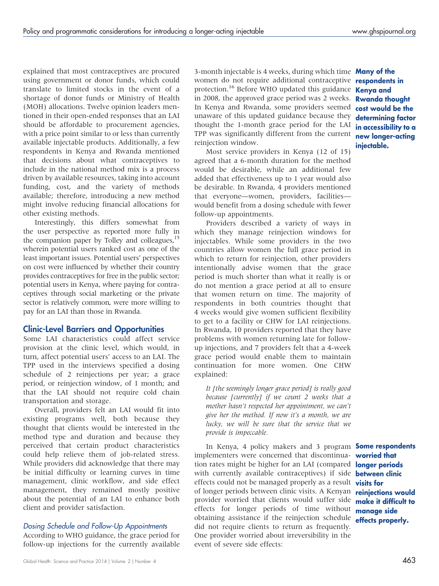explained that most contraceptives are procured using government or donor funds, which could translate to limited stocks in the event of a shortage of donor funds or Ministry of Health (MOH) allocations. Twelve opinion leaders mentioned in their open-ended responses that an LAI should be affordable to procurement agencies, with a price point similar to or less than currently available injectable products. Additionally, a few respondents in Kenya and Rwanda mentioned that decisions about what contraceptives to include in the national method mix is a process driven by available resources, taking into account funding, cost, and the variety of methods available; therefore, introducing a new method might involve reducing financial allocations for other existing methods.

Interestingly, this differs somewhat from the user perspective as reported more fully in the companion paper by Tolley and colleagues, $15$ wherein potential users ranked cost as one of the least important issues. Potential users' perspectives on cost were influenced by whether their country provides contraceptives for free in the public sector; potential users in Kenya, where paying for contraceptives through social marketing or the private sector is relatively common, were more willing to pay for an LAI than those in Rwanda.

## Clinic-Level Barriers and Opportunities

Some LAI characteristics could affect service provision at the clinic level, which would, in turn, affect potential users' access to an LAI. The TPP used in the interviews specified a dosing schedule of 2 reinjections per year; a grace period, or reinjection window, of 1 month; and that the LAI should not require cold chain transportation and storage.

Overall, providers felt an LAI would fit into existing programs well, both because they thought that clients would be interested in the method type and duration and because they perceived that certain product characteristics could help relieve them of job-related stress. While providers did acknowledge that there may be initial difficulty or learning curves in time management, clinic workflow, and side effect management, they remained mostly positive about the potential of an LAI to enhance both client and provider satisfaction.

# Dosing Schedule and Follow-Up Appointments

According to WHO guidance, the grace period for follow-up injections for the currently available

3-month injectable is 4 weeks, during which time Many of the women do not require additional contraceptive respondents in protection.<sup>16</sup> Before WHO updated this guidance Kenya and in 2008, the approved grace period was 2 weeks. In Kenya and Rwanda, some providers seemed unaware of this updated guidance because they thought the 1-month grace period for the LAI TPP was significantly different from the current reinjection window.

Most service providers in Kenya (12 of 15) agreed that a 6-month duration for the method would be desirable, while an additional few added that effectiveness up to 1 year would also be desirable. In Rwanda, 4 providers mentioned that everyone—women, providers, facilities would benefit from a dosing schedule with fewer follow-up appointments.

Providers described a variety of ways in which they manage reinjection windows for injectables. While some providers in the two countries allow women the full grace period in which to return for reinjection, other providers intentionally advise women that the grace period is much shorter than what it really is or do not mention a grace period at all to ensure that women return on time. The majority of respondents in both countries thought that 4 weeks would give women sufficient flexibility to get to a facility or CHW for LAI reinjections. In Rwanda, 10 providers reported that they have problems with women returning late for followup injections, and 7 providers felt that a 4-week grace period would enable them to maintain continuation for more women. One CHW explained:

It [the seemingly longer grace period] is really good because [currently] if we count 2 weeks that a mother hasn't respected her appointment, we can't give her the method. If now it's a month, we are lucky, we will be sure that the service that we provide is impeccable.

In Kenya, 4 policy makers and 3 program **Some respondents** implementers were concerned that discontinua- worried that tion rates might be higher for an LAI (compared longer periods with currently available contraceptives) if side **between clinic** effects could not be managed properly as a result visits for of longer periods between clinic visits. A Kenyan reinjections would provider worried that clients would suffer side effects for longer periods of time without manage side obtaining assistance if the reinjection schedule **effects properly.** did not require clients to return as frequently. One provider worried about irreversibility in the event of severe side effects:

Rwanda thought cost would be the determining factor in accessibility to a new longer-acting injectable.

make it difficult to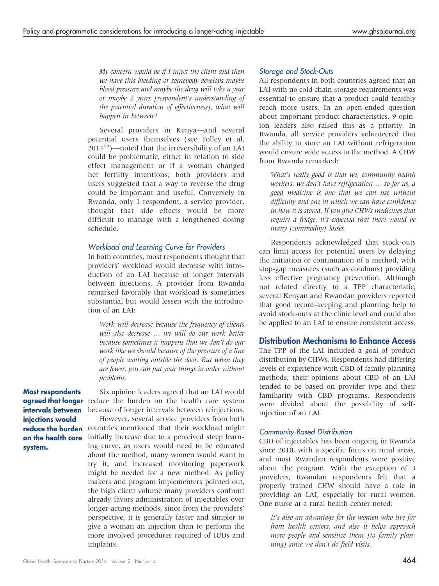My concern would be if I inject the client and then we have this bleeding or somebody develops maybe blood pressure and maybe the drug will take a year or maybe 2 years [respondent's understanding of the potential duration of effectiveness], what will happen in between?

Several providers in Kenya—and several potential users themselves (see Tolley et al,  $2014^{15}$ )—noted that the irreversibility of an LAI could be problematic, either in relation to side effect management or if a woman changed her fertility intentions; both providers and users suggested that a way to reverse the drug could be important and useful. Conversely in Rwanda, only 1 respondent, a service provider, thought that side effects would be more difficult to manage with a lengthened dosing schedule.

#### Workload and Learning Curve for Providers

In both countries, most respondents thought that providers' workload would decrease with introduction of an LAI because of longer intervals between injections. A provider from Rwanda remarked favorably that workload is sometimes substantial but would lessen with the introduction of an LAI:

Work will decrease because the frequency of clients will also decrease … we will do our work better because sometimes it happens that we don't do our work like we should because of the pressure of a line of people waiting outside the door. But when they are fewer, you can put your things in order without problems.

Six opinion leaders agreed that an LAI would agreed that longer reduce the burden on the health care system because of longer intervals between reinjections.

However, several service providers from both reduce the burden countries mentioned that their workload might initially increase due to a perceived steep learning curve, as users would need to be educated about the method, many women would want to try it, and increased monitoring paperwork might be needed for a new method. As policy makers and program implementers pointed out, the high client volume many providers confront already favors administration of injectables over longer-acting methods, since from the providers' perspective, it is generally faster and simpler to give a woman an injection than to perform the more involved procedures required of IUDs and implants.

## Storage and Stock-Outs

All respondents in both countries agreed that an LAI with no cold chain storage requirements was essential to ensure that a product could feasibly reach more users. In an open-ended question about important product characteristics, 9 opinion leaders also raised this as a priority. In Rwanda, all service providers volunteered that the ability to store an LAI without refrigeration would ensure wide access to the method. A CHW from Rwanda remarked:

What's really good is that we, community health workers, we don't have refrigeration … so for us, a good medicine is one that we can use without difficulty and one in which we can have confidence in how it is stored. If you give CHWs medicines that require a fridge, it's expected that there would be many [commodity] losses.

Respondents acknowledged that stock-outs can limit access for potential users by delaying the initiation or continuation of a method, with stop-gap measures (such as condoms) providing less effective pregnancy prevention. Although not related directly to a TPP characteristic, several Kenyan and Rwandan providers reported that good record-keeping and planning help to avoid stock-outs at the clinic level and could also be applied to an LAI to ensure consistent access.

#### Distribution Mechanisms to Enhance Access

The TPP of the LAI included a goal of product distribution by CHWs. Respondents had differing levels of experience with CBD of family planning methods; their opinions about CBD of an LAI tended to be based on provider type and their familiarity with CBD programs. Respondents were divided about the possibility of selfinjection of an LAI.

#### Community-Based Distribution

CBD of injectables has been ongoing in Rwanda since 2010, with a specific focus on rural areas, and most Rwandan respondents were positive about the program. With the exception of 3 providers, Rwandan respondents felt that a properly trained CHW should have a role in providing an LAI, especially for rural women. One nurse at a rural health center noted:

It's also an advantage for the women who live far from health centers, and also it helps approach more people and sensitize them [to family planning] since we don't do field visits.

Most respondents intervals between injections would on the health care system.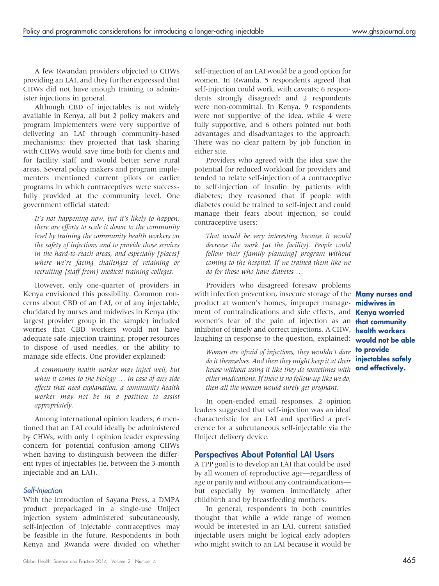midwives in Kenya worried

to provide injectables safely

would not be able

A few Rwandan providers objected to CHWs providing an LAI, and they further expressed that CHWs did not have enough training to administer injections in general.

Although CBD of injectables is not widely available in Kenya, all but 2 policy makers and program implementers were very supportive of delivering an LAI through community-based mechanisms; they projected that task sharing with CHWs would save time both for clients and for facility staff and would better serve rural areas. Several policy makers and program implementers mentioned current pilots or earlier programs in which contraceptives were successfully provided at the community level. One government official stated:

It's not happening now, but it's likely to happen; there are efforts to scale it down to the community level by training the community health workers on the safety of injections and to provide those services in the hard-to-reach areas, and especially [places] where we're facing challenges of retaining or recruiting [staff from] medical training colleges.

However, only one-quarter of providers in Kenya envisioned this possibility. Common concerns about CBD of an LAI, or of any injectable, elucidated by nurses and midwives in Kenya (the largest provider group in the sample) included worries that CBD workers would not have adequate safe-injection training, proper resources to dispose of used needles, or the ability to manage side effects. One provider explained:

A community health worker may inject well, but when it comes to the biology ... in case of any side effects that need explanation, a community health worker may not be in a position to assist appropriately.

Among international opinion leaders, 6 mentioned that an LAI could ideally be administered by CHWs, with only 1 opinion leader expressing concern for potential confusion among CHWs when having to distinguish between the different types of injectables (ie, between the 3-month injectable and an LAI).

#### Self-Injection

With the introduction of Sayana Press, a DMPA product prepackaged in a single-use Uniject injection system administered subcutaneously, self-injection of injectable contraceptives may be feasible in the future. Respondents in both Kenya and Rwanda were divided on whether

self-injection of an LAI would be a good option for women. In Rwanda, 5 respondents agreed that self-injection could work, with caveats; 6 respondents strongly disagreed; and 2 respondents were non-committal. In Kenya, 9 respondents were not supportive of the idea, while 4 were fully supportive, and 6 others pointed out both advantages and disadvantages to the approach. There was no clear pattern by job function in either site.

Providers who agreed with the idea saw the potential for reduced workload for providers and tended to relate self-injection of a contraceptive to self-injection of insulin by patients with diabetes; they reasoned that if people with diabetes could be trained to self-inject and could manage their fears about injection, so could contraceptive users:

That would be very interesting because it would decrease the work [at the facility]. People could follow their [family planning] program without coming to the hospital. If we trained them like we do for those who have diabetes …

Providers who disagreed foresaw problems with infection prevention, insecure storage of the **Many nurses and** product at women's homes, improper management of contraindications and side effects, and women's fear of the pain of injection as an **that community** inhibitor of timely and correct injections. A CHW, **health workers** laughing in response to the question, explained:

Women are afraid of injections, they wouldn't dare do it themselves. And then they might keep it at their house without using it like they do sometimes with **and effectively.** other medications. If there is no follow-up like we do, then all the women would surely get pregnant.

In open-ended email responses, 2 opinion leaders suggested that self-injection was an ideal characteristic for an LAI and specified a preference for a subcutaneous self-injectable via the Uniject delivery device.

#### Perspectives About Potential LAI Users

A TPP goal is to develop an LAI that could be used by all women of reproductive age—regardless of age or parity and without any contraindications but especially by women immediately after childbirth and by breastfeeding mothers.

In general, respondents in both countries thought that while a wide range of women would be interested in an LAI, current satisfied injectable users might be logical early adopters who might switch to an LAI because it would be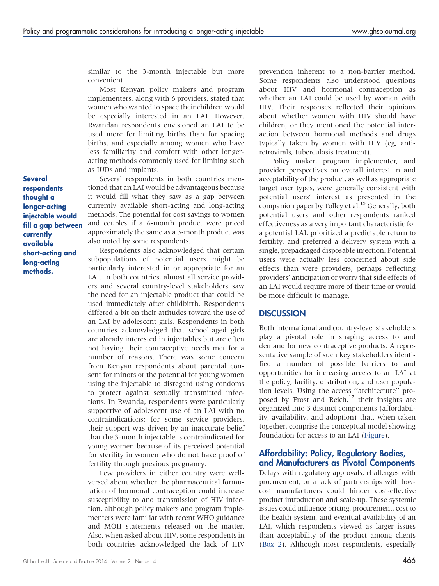similar to the 3-month injectable but more convenient.

Most Kenyan policy makers and program implementers, along with 6 providers, stated that women who wanted to space their children would be especially interested in an LAI. However, Rwandan respondents envisioned an LAI to be used more for limiting births than for spacing births, and especially among women who have less familiarity and comfort with other longeracting methods commonly used for limiting such as IUDs and implants.

Several respondents in both countries mentioned that an LAI would be advantageous because it would fill what they saw as a gap between currently available short-acting and long-acting methods. The potential for cost savings to women and couples if a 6-month product were priced approximately the same as a 3-month product was also noted by some respondents.

Respondents also acknowledged that certain subpopulations of potential users might be particularly interested in or appropriate for an LAI. In both countries, almost all service providers and several country-level stakeholders saw the need for an injectable product that could be used immediately after childbirth. Respondents differed a bit on their attitudes toward the use of an LAI by adolescent girls. Respondents in both countries acknowledged that school-aged girls are already interested in injectables but are often not having their contraceptive needs met for a number of reasons. There was some concern from Kenyan respondents about parental consent for minors or the potential for young women using the injectable to disregard using condoms to protect against sexually transmitted infections. In Rwanda, respondents were particularly supportive of adolescent use of an LAI with no contraindications; for some service providers, their support was driven by an inaccurate belief that the 3-month injectable is contraindicated for young women because of its perceived potential for sterility in women who do not have proof of fertility through previous pregnancy.

Few providers in either country were wellversed about whether the pharmaceutical formulation of hormonal contraception could increase susceptibility to and transmission of HIV infection, although policy makers and program implementers were familiar with recent WHO guidance and MOH statements released on the matter. Also, when asked about HIV, some respondents in both countries acknowledged the lack of HIV

prevention inherent to a non-barrier method. Some respondents also understood questions about HIV and hormonal contraception as whether an LAI could be used by women with HIV. Their responses reflected their opinions about whether women with HIV should have children, or they mentioned the potential interaction between hormonal methods and drugs typically taken by women with HIV (eg, antiretrovirals, tuberculosis treatment).

Policy maker, program implementer, and provider perspectives on overall interest in and acceptability of the product, as well as appropriate target user types, were generally consistent with potential users' interest as presented in the companion paper by Tolley et al.<sup>15</sup> Generally, both potential users and other respondents ranked effectiveness as a very important characteristic for a potential LAI, prioritized a predictable return to fertility, and preferred a delivery system with a single, prepackaged disposable injection. Potential users were actually less concerned about side effects than were providers, perhaps reflecting providers' anticipation or worry that side effects of an LAI would require more of their time or would be more difficult to manage.

#### **DISCUSSION**

Both international and country-level stakeholders play a pivotal role in shaping access to and demand for new contraceptive products. A representative sample of such key stakeholders identified a number of possible barriers to and opportunities for increasing access to an LAI at the policy, facility, distribution, and user population levels. Using the access ''architecture'' proposed by Frost and Reich,<sup>17</sup> their insights are organized into 3 distinct components (affordability, availability, and adoption) that, when taken together, comprise the conceptual model showing foundation for access to an LAI ([Figure\)](#page-8-0).

## Affordability: Policy, Regulatory Bodies, and Manufacturers as Pivotal Components

Delays with regulatory approvals, challenges with procurement, or a lack of partnerships with lowcost manufacturers could hinder cost-effective product introduction and scale-up. These systemic issues could influence pricing, procurement, cost to the health system, and eventual availability of an LAI, which respondents viewed as larger issues than acceptability of the product among clients ([Box 2\)](#page-9-0). Although most respondents, especially

**Several** respondents thought a longer-acting injectable would fill a gap between currently available short-acting and long-acting methods.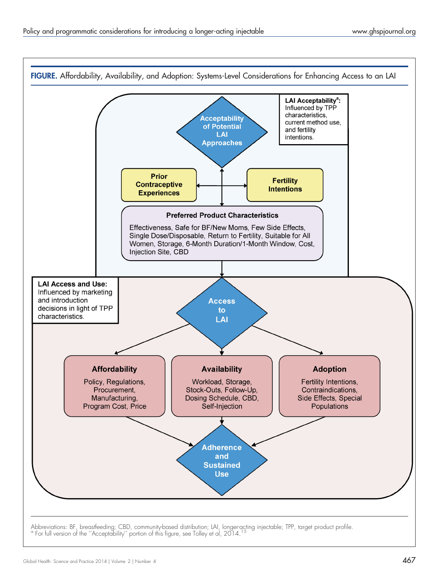<span id="page-8-0"></span>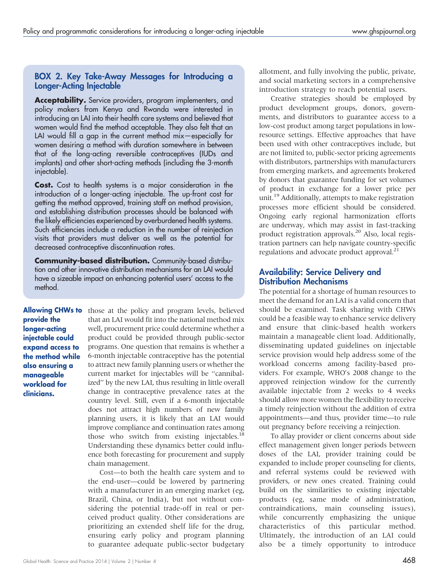## <span id="page-9-0"></span>BOX 2. Key Take-Away Messages for Introducing a Longer-Acting Injectable

Acceptability. Service providers, program implementers, and policy makers from Kenya and Rwanda were interested in introducing an LAI into their health care systems and believed that women would find the method acceptable. They also felt that an LAI would fill a gap in the current method mix—especially for women desiring a method with duration somewhere in between that of the long-acting reversible contraceptives (IUDs and implants) and other short-acting methods (including the 3-month injectable).

Cost. Cost to health systems is a major consideration in the introduction of a longer-acting injectable. The up-front cost for getting the method approved, training staff on method provision, and establishing distribution processes should be balanced with the likely efficiencies experienced by overburdened health systems. Such efficiencies include a reduction in the number of reinjection visits that providers must deliver as well as the potential for decreased contraceptive discontinuation rates.

Community-based distribution. Community-based distribution and other innovative distribution mechanisms for an LAI would have a sizeable impact on enhancing potential users' access to the method.

provide the longer-acting injectable could expand access to the method while also ensuring a manageable workload for clinicians.

**Allowing CHWs to** those at the policy and program levels, believed that an LAI would fit into the national method mix well, procurement price could determine whether a product could be provided through public-sector programs. One question that remains is whether a 6-month injectable contraceptive has the potential to attract new family planning users or whether the current market for injectables will be ''cannibalized'' by the new LAI, thus resulting in little overall change in contraceptive prevalence rates at the country level. Still, even if a 6-month injectable does not attract high numbers of new family planning users, it is likely that an LAI would improve compliance and continuation rates among those who switch from existing injectables.<sup>18</sup> Understanding these dynamics better could influence both forecasting for procurement and supply chain management.

> Cost—to both the health care system and to the end-user—could be lowered by partnering with a manufacturer in an emerging market (eg, Brazil, China, or India), but not without considering the potential trade-off in real or perceived product quality. Other considerations are prioritizing an extended shelf life for the drug, ensuring early policy and program planning to guarantee adequate public-sector budgetary

allotment, and fully involving the public, private, and social marketing sectors in a comprehensive introduction strategy to reach potential users.

Creative strategies should be employed by product development groups, donors, governments, and distributors to guarantee access to a low-cost product among target populations in lowresource settings. Effective approaches that have been used with other contraceptives include, but are not limited to, public-sector pricing agreements with distributors, partnerships with manufacturers from emerging markets, and agreements brokered by donors that guarantee funding for set volumes of product in exchange for a lower price per unit.<sup>19</sup> Additionally, attempts to make registration processes more efficient should be considered. Ongoing early regional harmonization efforts are underway, which may assist in fast-tracking product registration approvals.20 Also, local registration partners can help navigate country-specific regulations and advocate product approval. $^{21}$ 

## Availability: Service Delivery and Distribution Mechanisms

The potential for a shortage of human resources to meet the demand for an LAI is a valid concern that should be examined. Task sharing with CHWs could be a feasible way to enhance service delivery and ensure that clinic-based health workers maintain a manageable client load. Additionally, disseminating updated guidelines on injectable service provision would help address some of the workload concerns among facility-based providers. For example, WHO's 2008 change to the approved reinjection window for the currently available injectable from 2 weeks to 4 weeks should allow more women the flexibility to receive a timely reinjection without the addition of extra appointments—and thus, provider time—to rule out pregnancy before receiving a reinjection.

To allay provider or client concerns about side effect management given longer periods between doses of the LAI, provider training could be expanded to include proper counseling for clients, and referral systems could be reviewed with providers, or new ones created. Training could build on the similarities to existing injectable products (eg, same mode of administration, contraindications, main counseling issues), while concurrently emphasizing the unique characteristics of this particular method. Ultimately, the introduction of an LAI could also be a timely opportunity to introduce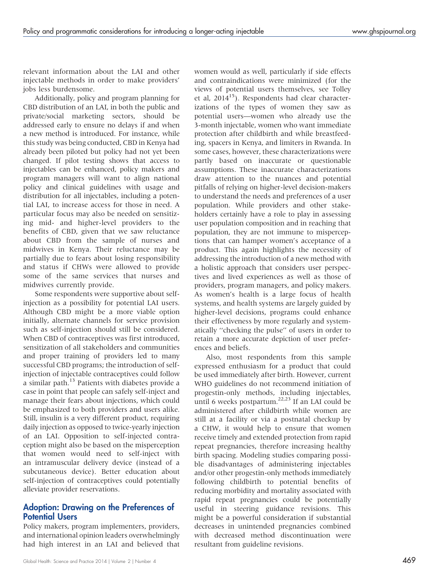relevant information about the LAI and other injectable methods in order to make providers' jobs less burdensome.

Additionally, policy and program planning for CBD distribution of an LAI, in both the public and private/social marketing sectors, should be addressed early to ensure no delays if and when a new method is introduced. For instance, while this study was being conducted, CBD in Kenya had already been piloted but policy had not yet been changed. If pilot testing shows that access to injectables can be enhanced, policy makers and program managers will want to align national policy and clinical guidelines with usage and distribution for all injectables, including a potential LAI, to increase access for those in need. A particular focus may also be needed on sensitizing mid- and higher-level providers to the benefits of CBD, given that we saw reluctance about CBD from the sample of nurses and midwives in Kenya. Their reluctance may be partially due to fears about losing responsibility and status if CHWs were allowed to provide some of the same services that nurses and midwives currently provide.

Some respondents were supportive about selfinjection as a possibility for potential LAI users. Although CBD might be a more viable option initially, alternate channels for service provision such as self-injection should still be considered. When CBD of contraceptives was first introduced, sensitization of all stakeholders and communities and proper training of providers led to many successful CBD programs; the introduction of selfinjection of injectable contraceptives could follow a similar path.13 Patients with diabetes provide a case in point that people can safely self-inject and manage their fears about injections, which could be emphasized to both providers and users alike. Still, insulin is a very different product, requiring daily injection as opposed to twice-yearly injection of an LAI. Opposition to self-injected contraception might also be based on the misperception that women would need to self-inject with an intramuscular delivery device (instead of a subcutaneous device). Better education about self-injection of contraceptives could potentially alleviate provider reservations.

## Adoption: Drawing on the Preferences of Potential Users

Policy makers, program implementers, providers, and international opinion leaders overwhelmingly had high interest in an LAI and believed that

women would as well, particularly if side effects and contraindications were minimized (for the views of potential users themselves, see Tolley et al, 2014<sup>15</sup>). Respondents had clear characterizations of the types of women they saw as potential users—women who already use the 3-month injectable, women who want immediate protection after childbirth and while breastfeeding, spacers in Kenya, and limiters in Rwanda. In some cases, however, these characterizations were partly based on inaccurate or questionable assumptions. These inaccurate characterizations draw attention to the nuances and potential pitfalls of relying on higher-level decision-makers to understand the needs and preferences of a user population. While providers and other stakeholders certainly have a role to play in assessing user population composition and in reaching that population, they are not immune to misperceptions that can hamper women's acceptance of a product. This again highlights the necessity of addressing the introduction of a new method with a holistic approach that considers user perspectives and lived experiences as well as those of providers, program managers, and policy makers. As women's health is a large focus of health systems, and health systems are largely guided by higher-level decisions, programs could enhance their effectiveness by more regularly and systematically ''checking the pulse'' of users in order to retain a more accurate depiction of user prefer-

Also, most respondents from this sample expressed enthusiasm for a product that could be used immediately after birth. However, current WHO guidelines do not recommend initiation of progestin-only methods, including injectables, until 6 weeks postpartum. $22,23$  If an LAI could be administered after childbirth while women are still at a facility or via a postnatal checkup by a CHW, it would help to ensure that women receive timely and extended protection from rapid repeat pregnancies, therefore increasing healthy birth spacing. Modeling studies comparing possible disadvantages of administering injectables and/or other progestin-only methods immediately following childbirth to potential benefits of reducing morbidity and mortality associated with rapid repeat pregnancies could be potentially useful in steering guidance revisions. This might be a powerful consideration if substantial decreases in unintended pregnancies combined with decreased method discontinuation were resultant from guideline revisions.

ences and beliefs.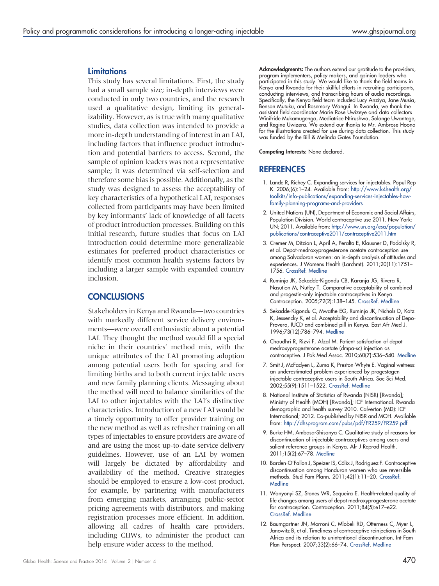## **Limitations**

This study has several limitations. First, the study had a small sample size; in-depth interviews were conducted in only two countries, and the research used a qualitative design, limiting its generalizability. However, as is true with many qualitative studies, data collection was intended to provide a more in-depth understanding of interest in an LAI, including factors that influence product introduction and potential barriers to access. Second, the sample of opinion leaders was not a representative sample; it was determined via self-selection and therefore some bias is possible. Additionally, as the study was designed to assess the acceptability of key characteristics of a hypothetical LAI, responses collected from participants may have been limited by key informants' lack of knowledge of all facets of product introduction processes. Building on this initial research, future studies that focus on LAI introduction could determine more generalizable estimates for preferred product characteristics or identify most common health systems factors by including a larger sample with expanded country inclusion.

## **CONCLUSIONS**

Stakeholders in Kenya and Rwanda—two countries with markedly different service delivery environments—were overall enthusiastic about a potential LAI. They thought the method would fill a special niche in their countries' method mix, with the unique attributes of the LAI promoting adoption among potential users both for spacing and for limiting births and to both current injectable users and new family planning clients. Messaging about the method will need to balance similarities of the LAI to other injectables with the LAI's distinctive characteristics. Introduction of a new LAI would be a timely opportunity to offer provider training on the new method as well as refresher training on all types of injectables to ensure providers are aware of and are using the most up-to-date service delivery guidelines. However, use of an LAI by women will largely be dictated by affordability and availability of the method. Creative strategies should be employed to ensure a low-cost product, for example, by partnering with manufacturers from emerging markets, arranging public-sector pricing agreements with distributors, and making registration processes more efficient. In addition, allowing all cadres of health care providers, including CHWs, to administer the product can help ensure wider access to the method.

Acknowledgments: The authors extend our gratitude to the providers, program implementers, policy makers, and opinion leaders who participated in this study. We would like to thank the field teams in Kenya and Rwanda for their skillful efforts in recruiting participants, conducting interviews, and transcribing hours of audio recordings. Specifically, the Kenya field team included Lucy Anziya, Jane Musia, Benson Mutuku, and Rosemary Wangui. In Rwanda, we thank the assistant field coordinator Marie Rose Uwizeye and data collectors Winifride Mukamugenga, Mediatrice Ntirushwa, Solange Uwantege, and Regine Uwizera. We extend our thanks to Mr. Ambrose Hoona for the illustrations created for use during data collection. This study was funded by the Bill & Melinda Gates Foundation.

Competing Interests: None declared.

#### **REFERENCES**

- 1. Lande R, Richey C. Expanding services for injectables. Popul Rep K. 2006;(6):1–24. Available from: [http://www.k4health.org/](http://www.k4health.org/toolkits/info-publications/expanding-services-injectables-how-family-planning-programs-and-providers) [toolkits/info-publications/expanding-services-injectables-how](http://www.k4health.org/toolkits/info-publications/expanding-services-injectables-how-family-planning-programs-and-providers)[family-planning-programs-and-providers](http://www.k4health.org/toolkits/info-publications/expanding-services-injectables-how-family-planning-programs-and-providers)
- 2. United Nations (UN), Department of Economic and Social Affairs, Population Division. World contraceptive use 2011. New York: UN; 2011. Available from: [http://www.un.org/esa/population/](http://www.un.org/esa/population/publications/contraceptive2011/contraceptive2011.htm) [publications/contraceptive2011/contraceptive2011.htm](http://www.un.org/esa/population/publications/contraceptive2011/contraceptive2011.htm)
- 3. Cremer M, Ditzian L, April A, Peralta E, Klausner D, Podolsky R, et al. Depot-medroxyprogesterone acetate contraception use among Salvadoran women: an in-depth analysis of attitudes and experiences. J Womens Health (Larchmt). 2011;20(11):1751– 1756. [CrossRef](http://dx.doi.org/10.1089/jwh.2010.2264). [Medline](http://www.ncbi.nlm.nih.gov/pubmed/21823919)
- 4. Ruminjo JK, Sekadde-Kigondu CB, Karanja JG, Rivera R, Nasution M, Nutley T. Comparative acceptability of combined and progestin-only injectable contraceptives in Kenya. Contraception. 2005;72(2):138–145. [CrossRef.](http://dx.doi.org/10.1016/j.contraception.2005.04.001) [Medline](http://www.ncbi.nlm.nih.gov/pubmed/16022854)
- 5. Sekadde-Kigondu C, Mwathe EG, Ruminjo JK, Nichols D, Katz K, Jessencky K, et al. Acceptability and discontinuation of Depo-Provera, IUCD and combined pill in Kenya. East Afr Med J. 1996;73(12):786–794. [Medline](http://www.ncbi.nlm.nih.gov/pubmed/9103686)
- 6. Chaudhri R, Rizvi F, Afzal M. Patient satisfaction of depot medroxyprogesterone acetate (dmpa-sc) injection as contraceptive. J Pak Med Assoc. 2010;60(7):536–540. [Medline](http://www.ncbi.nlm.nih.gov/pubmed/20578601)
- 7. Smit J, McFadyen L, Zuma K, Preston-Whyte E. Vaginal wetness: an underestimated problem experienced by progestogen injectable contraceptive users in South Africa. Soc Sci Med. 2002;55(9):1511–1522. [CrossRef](http://dx.doi.org/10.1016/S0277-9536(01)00284-2). [Medline](http://www.ncbi.nlm.nih.gov/pubmed/12297238)
- 8. National Institute of Statistics of Rwanda (NISR) [Rwanda]; Ministry of Health (MOH) [Rwanda]; ICF International. Rwanda demographic and health survey 2010. Calverton (MD): ICF International; 2012. Co-published by NISR and MOH. Available from: <http://dhsprogram.com/pubs/pdf/FR259/FR259.pdf>
- 9. Burke HM, Ambasa-Shisanya C. Qualitative study of reasons for discontinuation of injectable contraceptives among users and salient reference groups in Kenya. Afr J Reprod Health. 2011;15(2):67–78. [Medline](http://www.ncbi.nlm.nih.gov/pubmed/22590894)
- 10. Barden-O'Fallon J, Speizer IS, Cálix J, Rodriguez F. Contraceptive discontinuation among Honduran women who use reversible methods. Stud Fam Plann. 2011;42(1):11–20. [CrossRef.](http://dx.doi.org/10.1111/j.1728-4465.2011.00260.x) **[Medline](http://www.ncbi.nlm.nih.gov/pubmed/21500697)**
- 11. Wanyonyi SZ, Stones WR, Sequeira E. Health-related quality of life changes among users of depot medroxyprogesterone acetate for contraception. Contraception. 2011;84(5):e17–e22. [CrossRef](http://dx.doi.org/10.1016/j.contraception.2011.05.022). [Medline](http://www.ncbi.nlm.nih.gov/pubmed/22018133)
- 12. Baumgartner JN, Morroni C, Mlobeli RD, Otterness C, Myer L, Janowitz B, et al. Timeliness of contraceptive reinjections in South Africa and its relation to unintentional discontinuation. Int Fam Plan Perspect. 2007;33(2):66–74. [CrossRef](http://dx.doi.org/10.1363/3306607). [Medline](http://www.ncbi.nlm.nih.gov/pubmed/17588850)